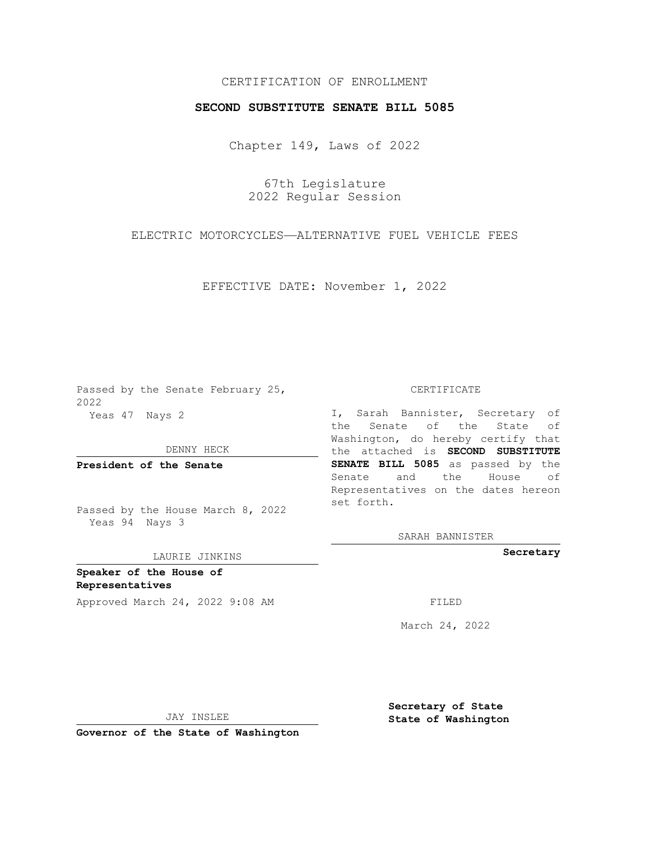## CERTIFICATION OF ENROLLMENT

## **SECOND SUBSTITUTE SENATE BILL 5085**

Chapter 149, Laws of 2022

67th Legislature 2022 Regular Session

ELECTRIC MOTORCYCLES—ALTERNATIVE FUEL VEHICLE FEES

EFFECTIVE DATE: November 1, 2022

Passed by the Senate February 25, 2022 Yeas 47 Nays 2

DENNY HECK

**President of the Senate**

Passed by the House March 8, 2022 Yeas 94 Nays 3

## LAURIE JINKINS

**Speaker of the House of Representatives**

Approved March 24, 2022 9:08 AM

CERTIFICATE

I, Sarah Bannister, Secretary of the Senate of the State of Washington, do hereby certify that the attached is **SECOND SUBSTITUTE SENATE BILL 5085** as passed by the Senate and the House of Representatives on the dates hereon set forth.

SARAH BANNISTER

**Secretary**

March 24, 2022

JAY INSLEE

**Governor of the State of Washington**

**Secretary of State State of Washington**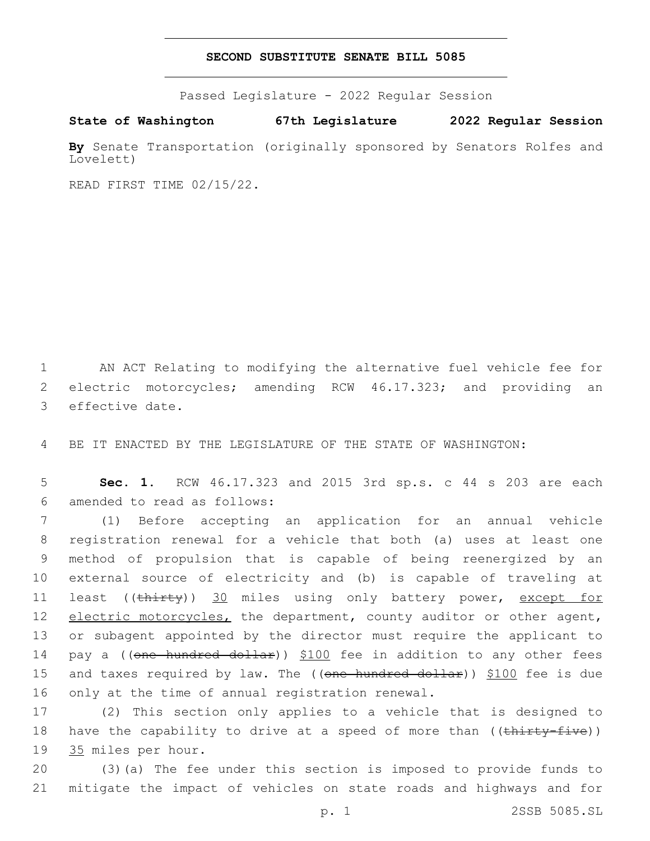## **SECOND SUBSTITUTE SENATE BILL 5085**

Passed Legislature - 2022 Regular Session

**State of Washington 67th Legislature 2022 Regular Session**

**By** Senate Transportation (originally sponsored by Senators Rolfes and Lovelett)

READ FIRST TIME 02/15/22.

1 AN ACT Relating to modifying the alternative fuel vehicle fee for 2 electric motorcycles; amending RCW 46.17.323; and providing an 3 effective date.

4 BE IT ENACTED BY THE LEGISLATURE OF THE STATE OF WASHINGTON:

5 **Sec. 1.** RCW 46.17.323 and 2015 3rd sp.s. c 44 s 203 are each amended to read as follows:6

7 (1) Before accepting an application for an annual vehicle 8 registration renewal for a vehicle that both (a) uses at least one 9 method of propulsion that is capable of being reenergized by an 10 external source of electricity and (b) is capable of traveling at 11 least ((thirty)) 30 miles using only battery power, except for 12 electric motorcycles, the department, county auditor or other agent, 13 or subagent appointed by the director must require the applicant to 14 pay a ((one hundred dollar)) \$100 fee in addition to any other fees 15 and taxes required by law. The ((one hundred dollar)) \$100 fee is due 16 only at the time of annual registration renewal.

17 (2) This section only applies to a vehicle that is designed to 18 have the capability to drive at a speed of more than ((thirty-five)) 19 35 miles per hour.

20 (3)(a) The fee under this section is imposed to provide funds to 21 mitigate the impact of vehicles on state roads and highways and for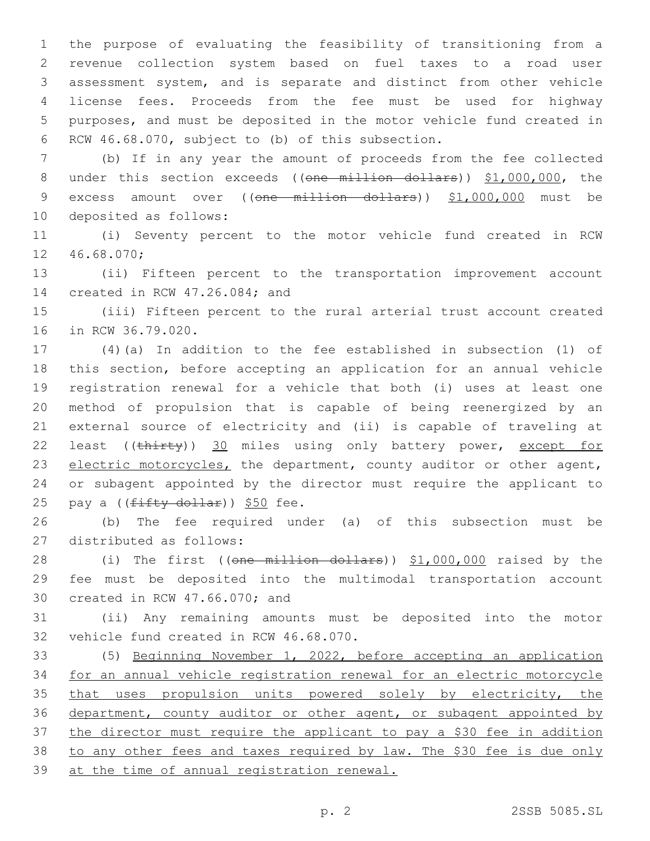the purpose of evaluating the feasibility of transitioning from a revenue collection system based on fuel taxes to a road user assessment system, and is separate and distinct from other vehicle license fees. Proceeds from the fee must be used for highway purposes, and must be deposited in the motor vehicle fund created in 6 RCW 46.68.070, subject to (b) of this subsection.

7 (b) If in any year the amount of proceeds from the fee collected 8 under this section exceeds ((one million dollars)) \$1,000,000, the 9 excess amount over ((one million dollars)) \$1,000,000 must be 10 deposited as follows:

11 (i) Seventy percent to the motor vehicle fund created in RCW 12 46.68.070;

13 (ii) Fifteen percent to the transportation improvement account 14 created in RCW 47.26.084; and

15 (iii) Fifteen percent to the rural arterial trust account created 16 in RCW 36.79.020.

 (4)(a) In addition to the fee established in subsection (1) of this section, before accepting an application for an annual vehicle registration renewal for a vehicle that both (i) uses at least one method of propulsion that is capable of being reenergized by an external source of electricity and (ii) is capable of traveling at 22 least ((thirty)) 30 miles using only battery power, except for 23 electric motorcycles, the department, county auditor or other agent, or subagent appointed by the director must require the applicant to 25 pay a ((fifty dollar)) \$50 fee.

26 (b) The fee required under (a) of this subsection must be 27 distributed as follows:

28 (i) The first ((one million dollars)) \$1,000,000 raised by the 29 fee must be deposited into the multimodal transportation account 30 created in RCW 47.66.070; and

31 (ii) Any remaining amounts must be deposited into the motor 32 vehicle fund created in RCW 46.68.070.

 (5) Beginning November 1, 2022, before accepting an application for an annual vehicle registration renewal for an electric motorcycle 35 that uses propulsion units powered solely by electricity, the department, county auditor or other agent, or subagent appointed by the director must require the applicant to pay a \$30 fee in addition to any other fees and taxes required by law. The \$30 fee is due only at the time of annual registration renewal.